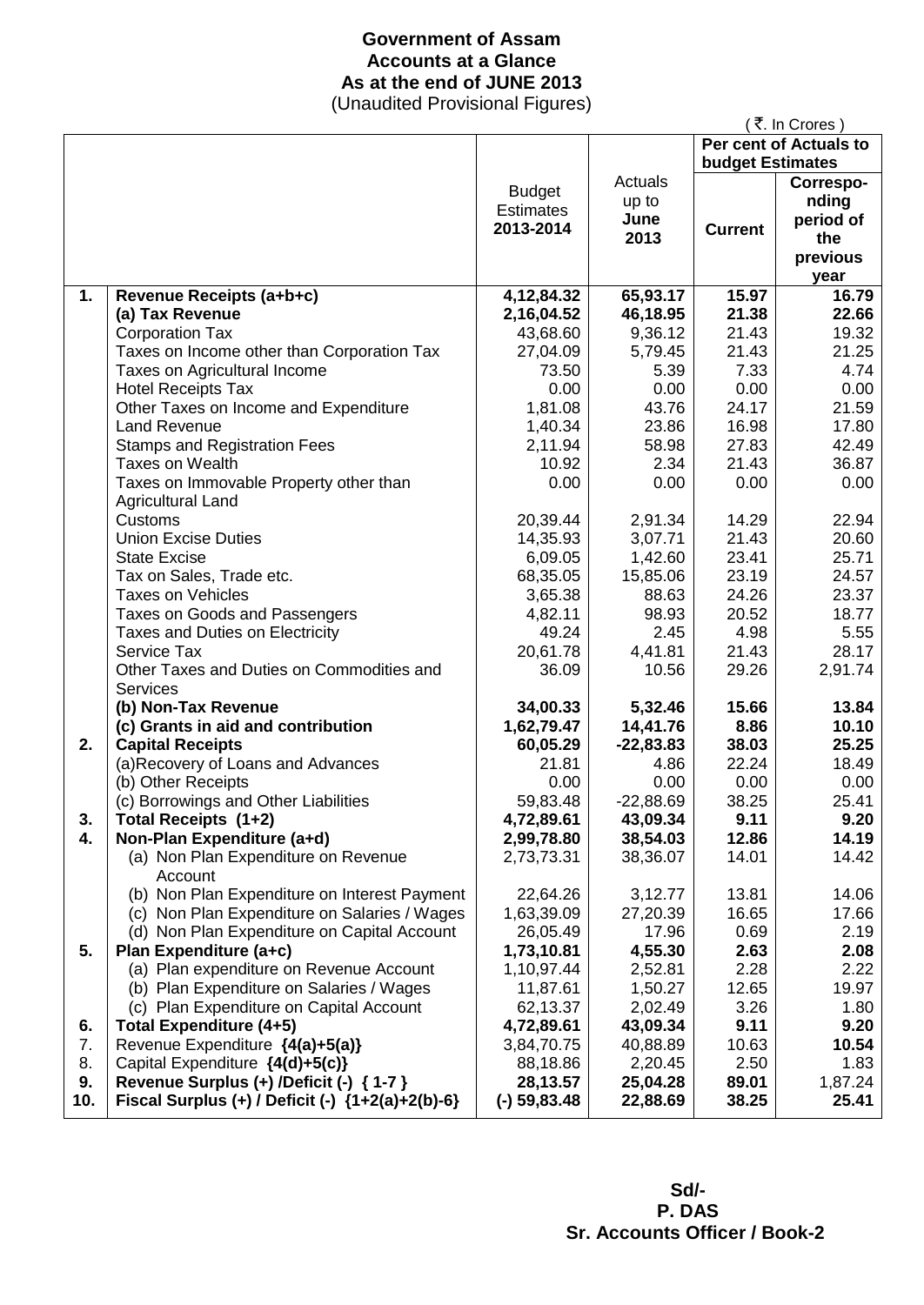### **Government of Assam Accounts at a Glance As at the end of JUNE 2013**

(Unaudited Provisional Figures)

|     |                                                  |                  |             |                         | ₹. In Crores)          |
|-----|--------------------------------------------------|------------------|-------------|-------------------------|------------------------|
|     |                                                  |                  |             |                         | Per cent of Actuals to |
|     |                                                  |                  |             | <b>budget Estimates</b> |                        |
|     |                                                  | <b>Budget</b>    | Actuals     |                         | Correspo-              |
|     |                                                  | <b>Estimates</b> | up to       |                         | nding                  |
|     |                                                  |                  | June        |                         | period of              |
|     |                                                  | 2013-2014        | 2013        | <b>Current</b>          | the                    |
|     |                                                  |                  |             |                         | previous               |
|     |                                                  |                  |             |                         | year                   |
| 1.  | Revenue Receipts (a+b+c)                         | 4, 12, 84. 32    | 65,93.17    | 15.97                   | 16.79                  |
|     | (a) Tax Revenue                                  | 2,16,04.52       | 46,18.95    | 21.38                   | 22.66                  |
|     | <b>Corporation Tax</b>                           | 43,68.60         | 9,36.12     | 21.43                   | 19.32                  |
|     | Taxes on Income other than Corporation Tax       | 27,04.09         | 5,79.45     | 21.43                   | 21.25                  |
|     | Taxes on Agricultural Income                     | 73.50            | 5.39        | 7.33                    | 4.74                   |
|     | <b>Hotel Receipts Tax</b>                        | 0.00             | 0.00        | 0.00                    | 0.00                   |
|     | Other Taxes on Income and Expenditure            | 1,81.08          | 43.76       | 24.17                   | 21.59                  |
|     | <b>Land Revenue</b>                              | 1,40.34          | 23.86       | 16.98                   | 17.80                  |
|     | <b>Stamps and Registration Fees</b>              | 2,11.94          | 58.98       | 27.83                   | 42.49                  |
|     | Taxes on Wealth                                  | 10.92            | 2.34        | 21.43                   | 36.87                  |
|     | Taxes on Immovable Property other than           | 0.00             | 0.00        | 0.00                    | 0.00                   |
|     | <b>Agricultural Land</b>                         |                  |             |                         |                        |
|     | Customs                                          | 20,39.44         | 2,91.34     | 14.29                   | 22.94                  |
|     | <b>Union Excise Duties</b>                       | 14,35.93         | 3,07.71     | 21.43                   | 20.60                  |
|     | <b>State Excise</b>                              | 6,09.05          | 1,42.60     | 23.41                   | 25.71                  |
|     | Tax on Sales, Trade etc.                         | 68,35.05         | 15,85.06    | 23.19                   | 24.57                  |
|     | <b>Taxes on Vehicles</b>                         | 3,65.38          | 88.63       | 24.26                   | 23.37                  |
|     | Taxes on Goods and Passengers                    | 4,82.11          | 98.93       | 20.52                   | 18.77                  |
|     | Taxes and Duties on Electricity                  | 49.24            | 2.45        | 4.98                    | 5.55                   |
|     | Service Tax                                      | 20,61.78         | 4,41.81     | 21.43                   | 28.17                  |
|     | Other Taxes and Duties on Commodities and        | 36.09            | 10.56       | 29.26                   | 2,91.74                |
|     | <b>Services</b>                                  |                  |             |                         |                        |
|     | (b) Non-Tax Revenue                              | 34,00.33         | 5,32.46     | 15.66                   | 13.84                  |
|     | (c) Grants in aid and contribution               | 1,62,79.47       | 14,41.76    | 8.86                    | 10.10                  |
| 2.  | <b>Capital Receipts</b>                          | 60,05.29         | $-22,83.83$ | 38.03                   | 25.25                  |
|     | (a)Recovery of Loans and Advances                | 21.81            | 4.86        | 22.24                   | 18.49                  |
|     | (b) Other Receipts                               | 0.00             | 0.00        | 0.00                    | 0.00                   |
|     | (c) Borrowings and Other Liabilities             | 59,83.48         | $-22,88.69$ | 38.25                   | 25.41                  |
| 3.  | Total Receipts (1+2)                             | 4,72,89.61       | 43,09.34    | 9.11                    | 9.20                   |
| 4.  | Non-Plan Expenditure (a+d)                       | 2,99,78.80       | 38,54.03    | 12.86                   | 14.19                  |
|     | (a) Non Plan Expenditure on Revenue<br>Account   | 2,73,73.31       | 38,36.07    | 14.01                   | 14.42                  |
|     | (b) Non Plan Expenditure on Interest Payment     | 22,64.26         | 3,12.77     | 13.81                   | 14.06                  |
|     | (c) Non Plan Expenditure on Salaries / Wages     | 1,63,39.09       | 27,20.39    | 16.65                   | 17.66                  |
|     | (d) Non Plan Expenditure on Capital Account      | 26,05.49         | 17.96       | 0.69                    | 2.19                   |
| 5.  | Plan Expenditure (a+c)                           | 1,73,10.81       | 4,55.30     | 2.63                    | 2.08                   |
|     | (a) Plan expenditure on Revenue Account          | 1,10,97.44       | 2,52.81     | 2.28                    | 2.22                   |
|     | (b) Plan Expenditure on Salaries / Wages         | 11,87.61         | 1,50.27     | 12.65                   | 19.97                  |
|     | (c) Plan Expenditure on Capital Account          | 62,13.37         | 2,02.49     | 3.26                    | 1.80                   |
| 6.  | <b>Total Expenditure (4+5)</b>                   | 4,72,89.61       | 43,09.34    | 9.11                    | 9.20                   |
| 7.  | Revenue Expenditure {4(a)+5(a)}                  | 3,84,70.75       | 40,88.89    | 10.63                   | 10.54                  |
| 8.  | Capital Expenditure {4(d)+5(c)}                  | 88,18.86         | 2,20.45     | 2.50                    | 1.83                   |
| 9.  | Revenue Surplus (+) /Deficit (-) { 1-7 }         | 28,13.57         | 25,04.28    | 89.01                   | 1,87.24                |
| 10. | Fiscal Surplus (+) / Deficit (-) {1+2(a)+2(b)-6} | $(-)$ 59,83.48   | 22,88.69    | 38.25                   | 25.41                  |

 **Sd/- P. DAS Sr. Accounts Officer / Book-2**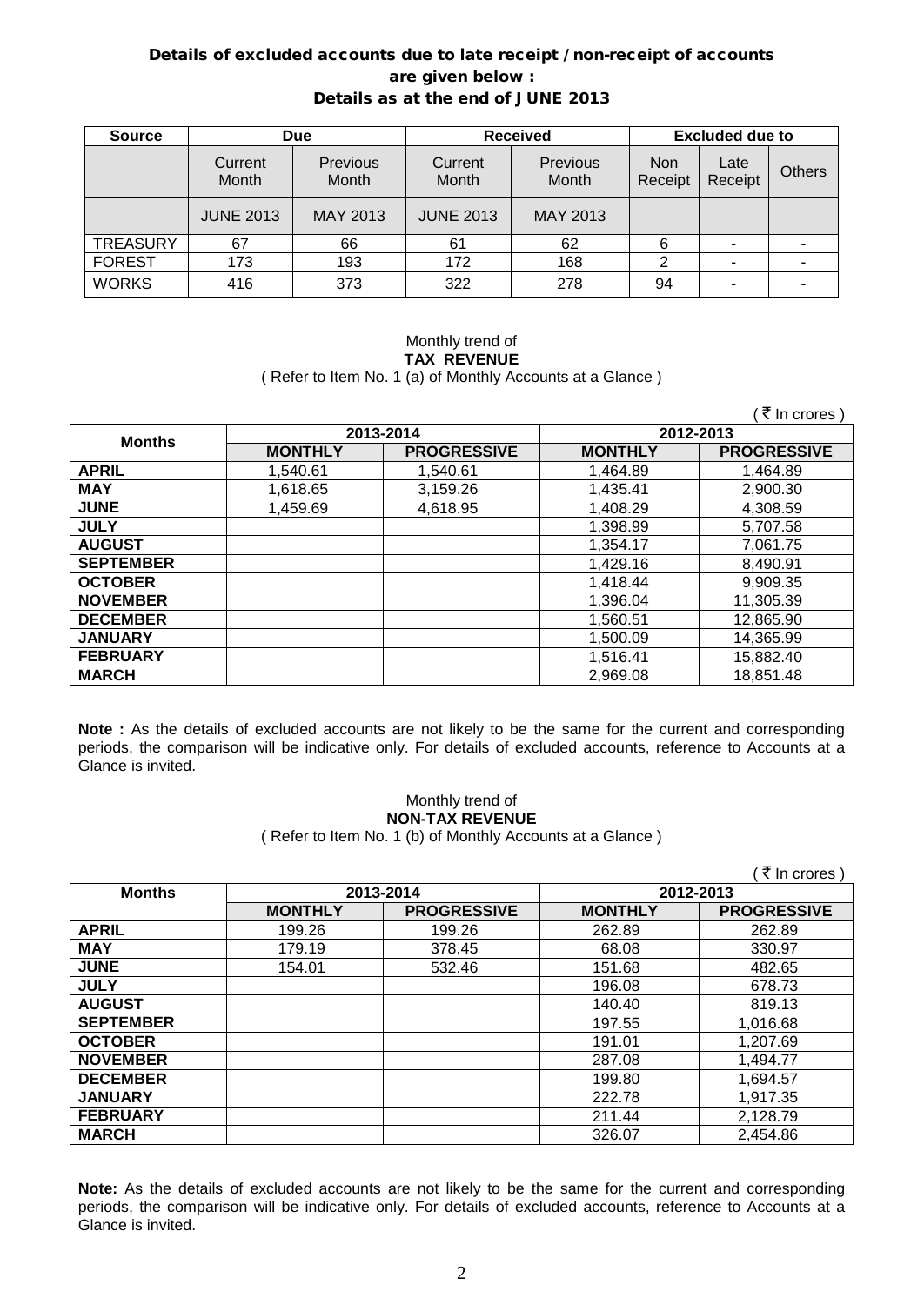### Details of excluded accounts due to late receipt / non-receipt of accounts are given below : Details as at the end of JUNE 2013

| <b>Source</b>   | <b>Due</b>       |                   | <b>Received</b>  |                   | <b>Excluded due to</b> |                 |               |
|-----------------|------------------|-------------------|------------------|-------------------|------------------------|-----------------|---------------|
|                 | Current<br>Month | Previous<br>Month | Current<br>Month | Previous<br>Month | <b>Non</b><br>Receipt  | Late<br>Receipt | <b>Others</b> |
|                 | <b>JUNE 2013</b> | <b>MAY 2013</b>   | <b>JUNE 2013</b> | MAY 2013          |                        |                 |               |
| <b>TREASURY</b> | 67               | 66                | 61               | 62                | 6                      |                 |               |
| <b>FOREST</b>   | 173              | 193               | 172              | 168               |                        |                 |               |
| <b>WORKS</b>    | 416              | 373               | 322              | 278               | 94                     | ۰               |               |

#### Monthly trend of **TAX REVENUE** ( Refer to Item No. 1 (a) of Monthly Accounts at a Glance )

|                  |                |                    |                | ₹ In crores)       |
|------------------|----------------|--------------------|----------------|--------------------|
| <b>Months</b>    |                | 2013-2014          | 2012-2013      |                    |
|                  | <b>MONTHLY</b> | <b>PROGRESSIVE</b> | <b>MONTHLY</b> | <b>PROGRESSIVE</b> |
| <b>APRIL</b>     | 1,540.61       | 1,540.61           | 1,464.89       | 1,464.89           |
| <b>MAY</b>       | 1,618.65       | 3,159.26           | 1,435.41       | 2,900.30           |
| <b>JUNE</b>      | 1,459.69       | 4,618.95           | 1,408.29       | 4,308.59           |
| <b>JULY</b>      |                |                    | 1,398.99       | 5,707.58           |
| <b>AUGUST</b>    |                |                    | 1,354.17       | 7,061.75           |
| <b>SEPTEMBER</b> |                |                    | 1,429.16       | 8,490.91           |
| <b>OCTOBER</b>   |                |                    | 1,418.44       | 9,909.35           |
| <b>NOVEMBER</b>  |                |                    | 1,396.04       | 11,305.39          |
| <b>DECEMBER</b>  |                |                    | 1,560.51       | 12,865.90          |
| <b>JANUARY</b>   |                |                    | 1,500.09       | 14,365.99          |
| <b>FEBRUARY</b>  |                |                    | 1,516.41       | 15,882.40          |
| <b>MARCH</b>     |                |                    | 2,969.08       | 18,851.48          |

**Note :** As the details of excluded accounts are not likely to be the same for the current and corresponding periods, the comparison will be indicative only. For details of excluded accounts, reference to Accounts at a Glance is invited.

### Monthly trend of **NON-TAX REVENUE**

( Refer to Item No. 1 (b) of Monthly Accounts at a Glance )

|                  |                |                    |                | ( ₹ In crores )    |
|------------------|----------------|--------------------|----------------|--------------------|
| <b>Months</b>    |                | 2013-2014          |                | 2012-2013          |
|                  | <b>MONTHLY</b> | <b>PROGRESSIVE</b> | <b>MONTHLY</b> | <b>PROGRESSIVE</b> |
| <b>APRIL</b>     | 199.26         | 199.26             | 262.89         | 262.89             |
| <b>MAY</b>       | 179.19         | 378.45             | 68.08          | 330.97             |
| <b>JUNE</b>      | 154.01         | 532.46             | 151.68         | 482.65             |
| <b>JULY</b>      |                |                    | 196.08         | 678.73             |
| <b>AUGUST</b>    |                |                    | 140.40         | 819.13             |
| <b>SEPTEMBER</b> |                |                    | 197.55         | 1,016.68           |
| <b>OCTOBER</b>   |                |                    | 191.01         | 1,207.69           |
| <b>NOVEMBER</b>  |                |                    | 287.08         | 1,494.77           |
| <b>DECEMBER</b>  |                |                    | 199.80         | 1,694.57           |
| <b>JANUARY</b>   |                |                    | 222.78         | 1,917.35           |
| <b>FEBRUARY</b>  |                |                    | 211.44         | 2,128.79           |
| <b>MARCH</b>     |                |                    | 326.07         | 2,454.86           |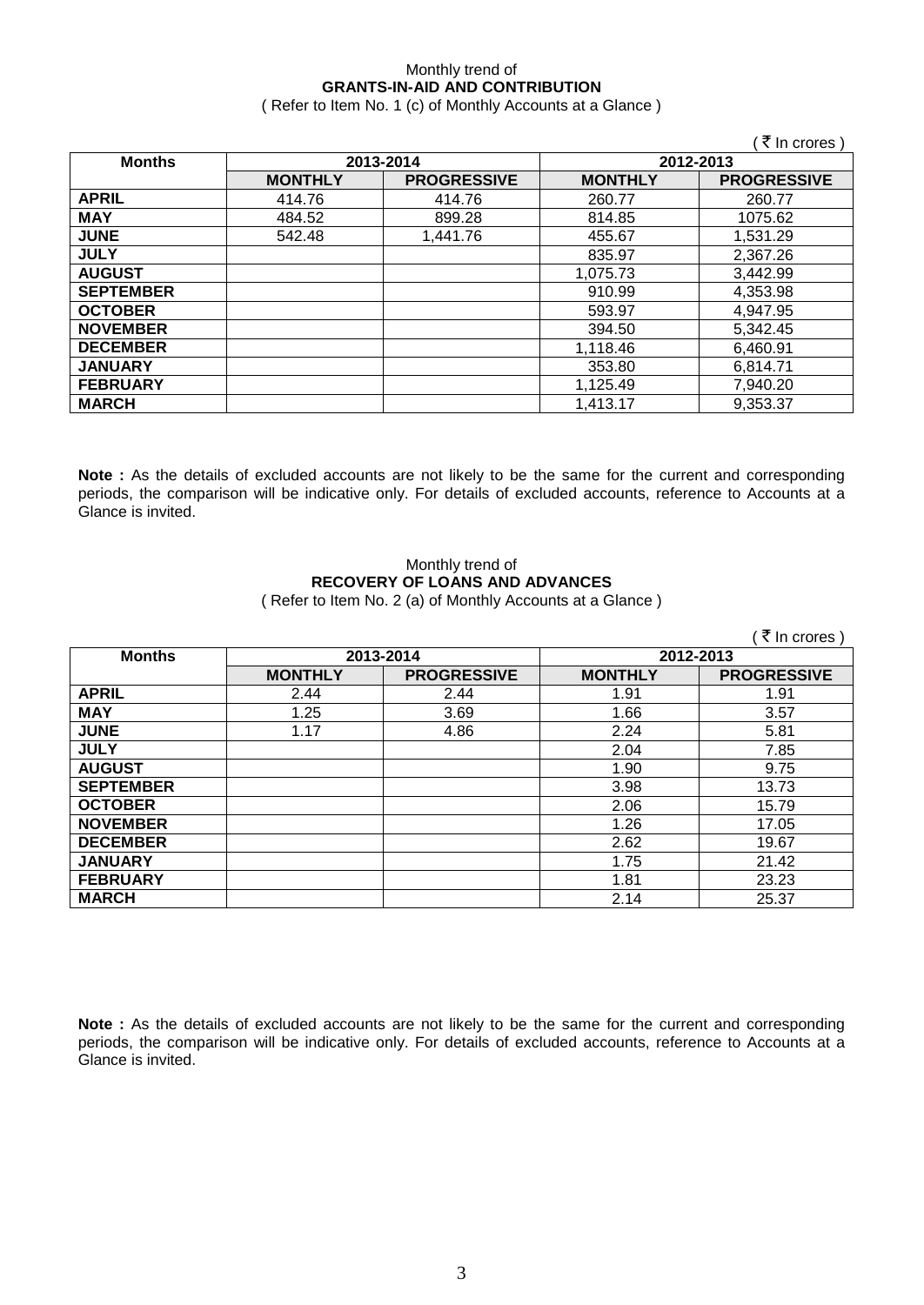### Monthly trend of **GRANTS-IN-AID AND CONTRIBUTION**

( Refer to Item No. 1 (c) of Monthly Accounts at a Glance )

|                  |                |                    |                | ′ ₹ In crores )    |
|------------------|----------------|--------------------|----------------|--------------------|
| <b>Months</b>    |                | 2013-2014          |                | 2012-2013          |
|                  | <b>MONTHLY</b> | <b>PROGRESSIVE</b> | <b>MONTHLY</b> | <b>PROGRESSIVE</b> |
| <b>APRIL</b>     | 414.76         | 414.76             | 260.77         | 260.77             |
| <b>MAY</b>       | 484.52         | 899.28             | 814.85         | 1075.62            |
| <b>JUNE</b>      | 542.48         | 1.441.76           | 455.67         | 1,531.29           |
| <b>JULY</b>      |                |                    | 835.97         | 2,367.26           |
| <b>AUGUST</b>    |                |                    | 1,075.73       | 3,442.99           |
| <b>SEPTEMBER</b> |                |                    | 910.99         | 4,353.98           |
| <b>OCTOBER</b>   |                |                    | 593.97         | 4,947.95           |
| <b>NOVEMBER</b>  |                |                    | 394.50         | 5,342.45           |
| <b>DECEMBER</b>  |                |                    | 1,118.46       | 6,460.91           |
| <b>JANUARY</b>   |                |                    | 353.80         | 6,814.71           |
| <b>FEBRUARY</b>  |                |                    | 1,125.49       | 7,940.20           |
| <b>MARCH</b>     |                |                    | 1,413.17       | 9,353.37           |

**Note :** As the details of excluded accounts are not likely to be the same for the current and corresponding periods, the comparison will be indicative only. For details of excluded accounts, reference to Accounts at a Glance is invited.

# Monthly trend of **RECOVERY OF LOANS AND ADVANCES**

( Refer to Item No. 2 (a) of Monthly Accounts at a Glance )

|                  |                |                    |                | (₹ In crores)      |
|------------------|----------------|--------------------|----------------|--------------------|
| <b>Months</b>    |                | 2013-2014          | 2012-2013      |                    |
|                  | <b>MONTHLY</b> | <b>PROGRESSIVE</b> | <b>MONTHLY</b> | <b>PROGRESSIVE</b> |
| <b>APRIL</b>     | 2.44           | 2.44               | 1.91           | 1.91               |
| <b>MAY</b>       | 1.25           | 3.69               | 1.66           | 3.57               |
| <b>JUNE</b>      | 1.17           | 4.86               | 2.24           | 5.81               |
| <b>JULY</b>      |                |                    | 2.04           | 7.85               |
| <b>AUGUST</b>    |                |                    | 1.90           | 9.75               |
| <b>SEPTEMBER</b> |                |                    | 3.98           | 13.73              |
| <b>OCTOBER</b>   |                |                    | 2.06           | 15.79              |
| <b>NOVEMBER</b>  |                |                    | 1.26           | 17.05              |
| <b>DECEMBER</b>  |                |                    | 2.62           | 19.67              |
| <b>JANUARY</b>   |                |                    | 1.75           | 21.42              |
| <b>FEBRUARY</b>  |                |                    | 1.81           | 23.23              |
| <b>MARCH</b>     |                |                    | 2.14           | 25.37              |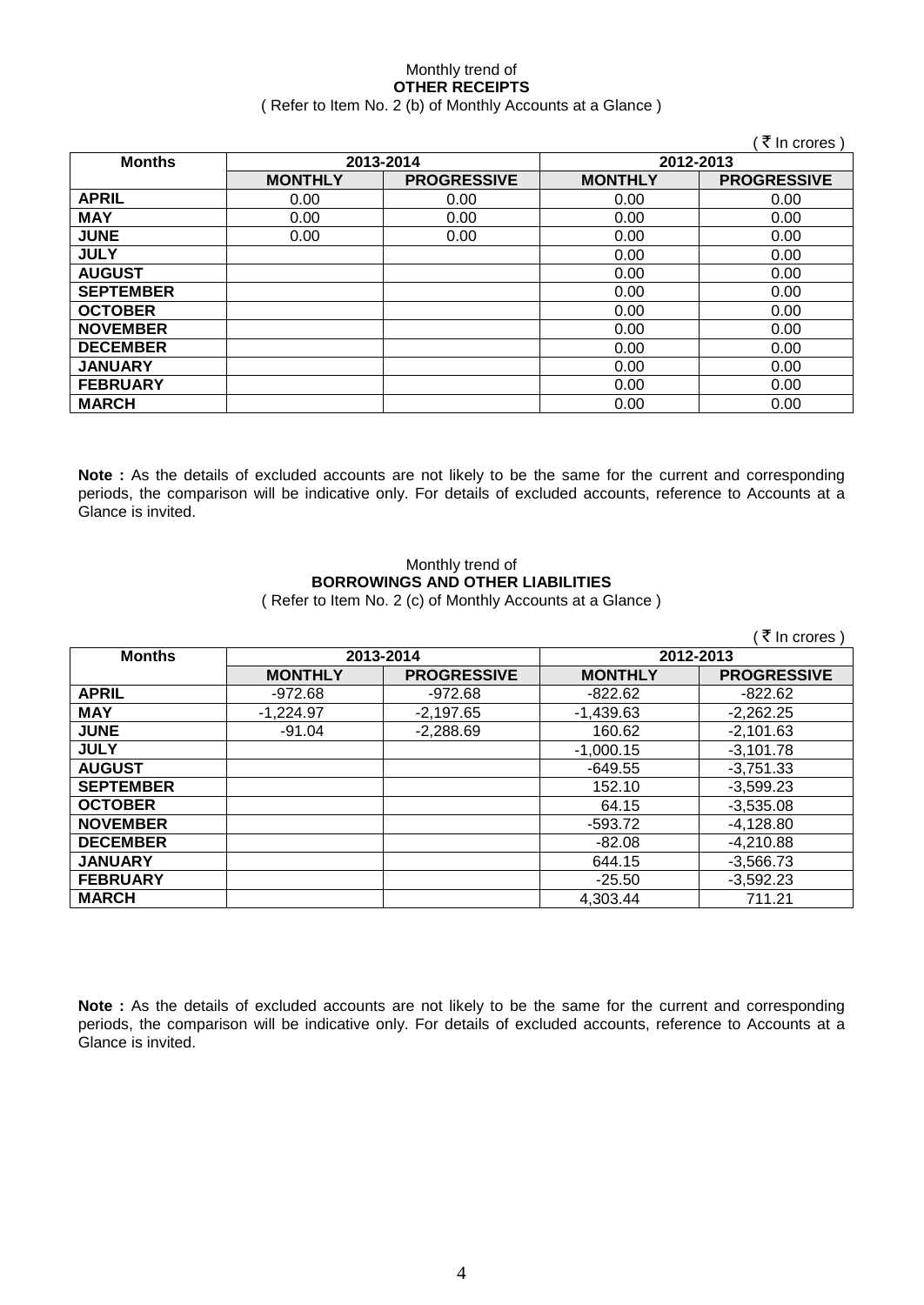#### Monthly trend of **OTHER RECEIPTS** ( Refer to Item No. 2 (b) of Monthly Accounts at a Glance )

|                  |                |                    |                | ( ₹ In crores )    |
|------------------|----------------|--------------------|----------------|--------------------|
| <b>Months</b>    |                | 2013-2014          | 2012-2013      |                    |
|                  | <b>MONTHLY</b> | <b>PROGRESSIVE</b> | <b>MONTHLY</b> | <b>PROGRESSIVE</b> |
| <b>APRIL</b>     | 0.00           | 0.00               | 0.00           | 0.00               |
| <b>MAY</b>       | 0.00           | 0.00               | 0.00           | 0.00               |
| <b>JUNE</b>      | 0.00           | 0.00               | 0.00           | 0.00               |
| <b>JULY</b>      |                |                    | 0.00           | 0.00               |
| <b>AUGUST</b>    |                |                    | 0.00           | 0.00               |
| <b>SEPTEMBER</b> |                |                    | 0.00           | 0.00               |
| <b>OCTOBER</b>   |                |                    | 0.00           | 0.00               |
| <b>NOVEMBER</b>  |                |                    | 0.00           | 0.00               |
| <b>DECEMBER</b>  |                |                    | 0.00           | 0.00               |
| <b>JANUARY</b>   |                |                    | 0.00           | 0.00               |
| <b>FEBRUARY</b>  |                |                    | 0.00           | 0.00               |
| <b>MARCH</b>     |                |                    | 0.00           | 0.00               |

**Note :** As the details of excluded accounts are not likely to be the same for the current and corresponding periods, the comparison will be indicative only. For details of excluded accounts, reference to Accounts at a Glance is invited.

### Monthly trend of **BORROWINGS AND OTHER LIABILITIES**

( Refer to Item No. 2 (c) of Monthly Accounts at a Glance )

|                  |                |                    |                | (₹ In crores)      |
|------------------|----------------|--------------------|----------------|--------------------|
| <b>Months</b>    |                | 2013-2014          | 2012-2013      |                    |
|                  | <b>MONTHLY</b> | <b>PROGRESSIVE</b> | <b>MONTHLY</b> | <b>PROGRESSIVE</b> |
| <b>APRIL</b>     | -972.68        | $-972.68$          | $-822.62$      | $-822.62$          |
| <b>MAY</b>       | $-1,224.97$    | $-2,197.65$        | $-1,439.63$    | $-2,262.25$        |
| <b>JUNE</b>      | $-91.04$       | $-2,288.69$        | 160.62         | $-2,101.63$        |
| <b>JULY</b>      |                |                    | $-1,000.15$    | $-3,101.78$        |
| <b>AUGUST</b>    |                |                    | $-649.55$      | $-3,751.33$        |
| <b>SEPTEMBER</b> |                |                    | 152.10         | $-3,599.23$        |
| <b>OCTOBER</b>   |                |                    | 64.15          | $-3,535.08$        |
| <b>NOVEMBER</b>  |                |                    | $-593.72$      | $-4,128.80$        |
| <b>DECEMBER</b>  |                |                    | $-82.08$       | $-4,210.88$        |
| <b>JANUARY</b>   |                |                    | 644.15         | $-3,566.73$        |
| <b>FEBRUARY</b>  |                |                    | $-25.50$       | $-3,592.23$        |
| <b>MARCH</b>     |                |                    | 4.303.44       | 711.21             |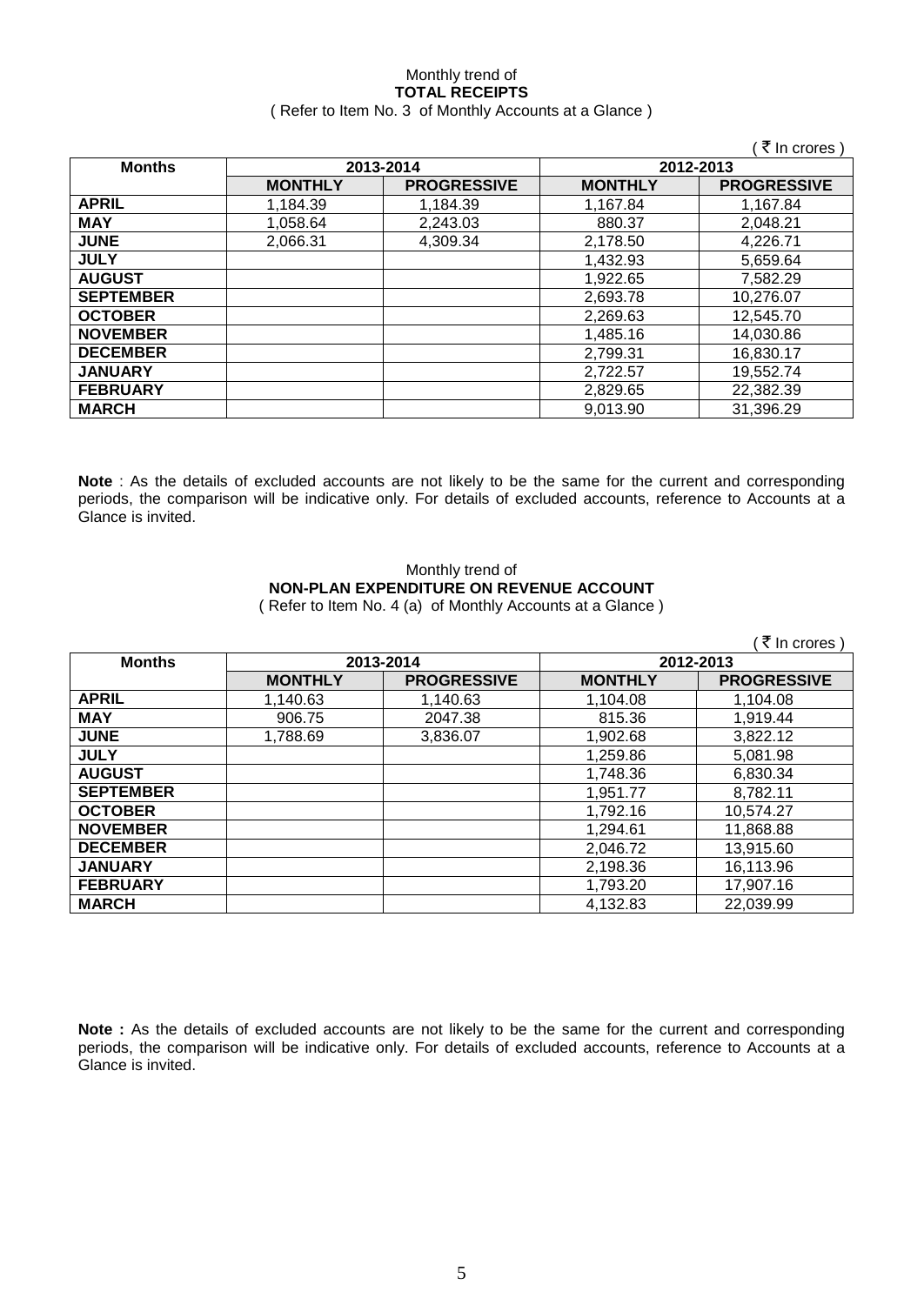### Monthly trend of **TOTAL RECEIPTS** ( Refer to Item No. 3 of Monthly Accounts at a Glance )

|                  |                |                    |                | ₹ In crores        |
|------------------|----------------|--------------------|----------------|--------------------|
| <b>Months</b>    |                | 2013-2014          |                | 2012-2013          |
|                  | <b>MONTHLY</b> | <b>PROGRESSIVE</b> | <b>MONTHLY</b> | <b>PROGRESSIVE</b> |
| <b>APRIL</b>     | 1,184.39       | 1.184.39           | 1,167.84       | 1.167.84           |
| <b>MAY</b>       | 1.058.64       | 2,243.03           | 880.37         | 2,048.21           |
| <b>JUNE</b>      | 2,066.31       | 4,309.34           | 2,178.50       | 4.226.71           |
| <b>JULY</b>      |                |                    | 1,432.93       | 5,659.64           |
| <b>AUGUST</b>    |                |                    | 1,922.65       | 7.582.29           |
| <b>SEPTEMBER</b> |                |                    | 2,693.78       | 10,276.07          |
| <b>OCTOBER</b>   |                |                    | 2,269.63       | 12,545.70          |
| <b>NOVEMBER</b>  |                |                    | 1,485.16       | 14,030.86          |
| <b>DECEMBER</b>  |                |                    | 2,799.31       | 16,830.17          |
| <b>JANUARY</b>   |                |                    | 2,722.57       | 19,552.74          |
| <b>FEBRUARY</b>  |                |                    | 2,829.65       | 22,382.39          |
| <b>MARCH</b>     |                |                    | 9,013.90       | 31,396.29          |

**Note** : As the details of excluded accounts are not likely to be the same for the current and corresponding periods, the comparison will be indicative only. For details of excluded accounts, reference to Accounts at a Glance is invited.

### Monthly trend of **NON-PLAN EXPENDITURE ON REVENUE ACCOUNT** ( Refer to Item No. 4 (a) of Monthly Accounts at a Glance )

|                  |                |                    |                | ₹ In crores)       |
|------------------|----------------|--------------------|----------------|--------------------|
| <b>Months</b>    |                | 2013-2014          |                | 2012-2013          |
|                  | <b>MONTHLY</b> | <b>PROGRESSIVE</b> | <b>MONTHLY</b> | <b>PROGRESSIVE</b> |
| <b>APRIL</b>     | 1,140.63       | 1,140.63           | 1,104.08       | 1,104.08           |
| <b>MAY</b>       | 906.75         | 2047.38            | 815.36         | 1,919.44           |
| <b>JUNE</b>      | 1,788.69       | 3,836.07           | 1,902.68       | 3,822.12           |
| <b>JULY</b>      |                |                    | 1,259.86       | 5,081.98           |
| <b>AUGUST</b>    |                |                    | 1,748.36       | 6,830.34           |
| <b>SEPTEMBER</b> |                |                    | 1.951.77       | 8,782.11           |
| <b>OCTOBER</b>   |                |                    | 1,792.16       | 10,574.27          |
| <b>NOVEMBER</b>  |                |                    | 1,294.61       | 11,868.88          |
| <b>DECEMBER</b>  |                |                    | 2,046.72       | 13,915.60          |
| <b>JANUARY</b>   |                |                    | 2,198.36       | 16,113.96          |
| <b>FEBRUARY</b>  |                |                    | 1,793.20       | 17,907.16          |
| <b>MARCH</b>     |                |                    | 4,132.83       | 22,039.99          |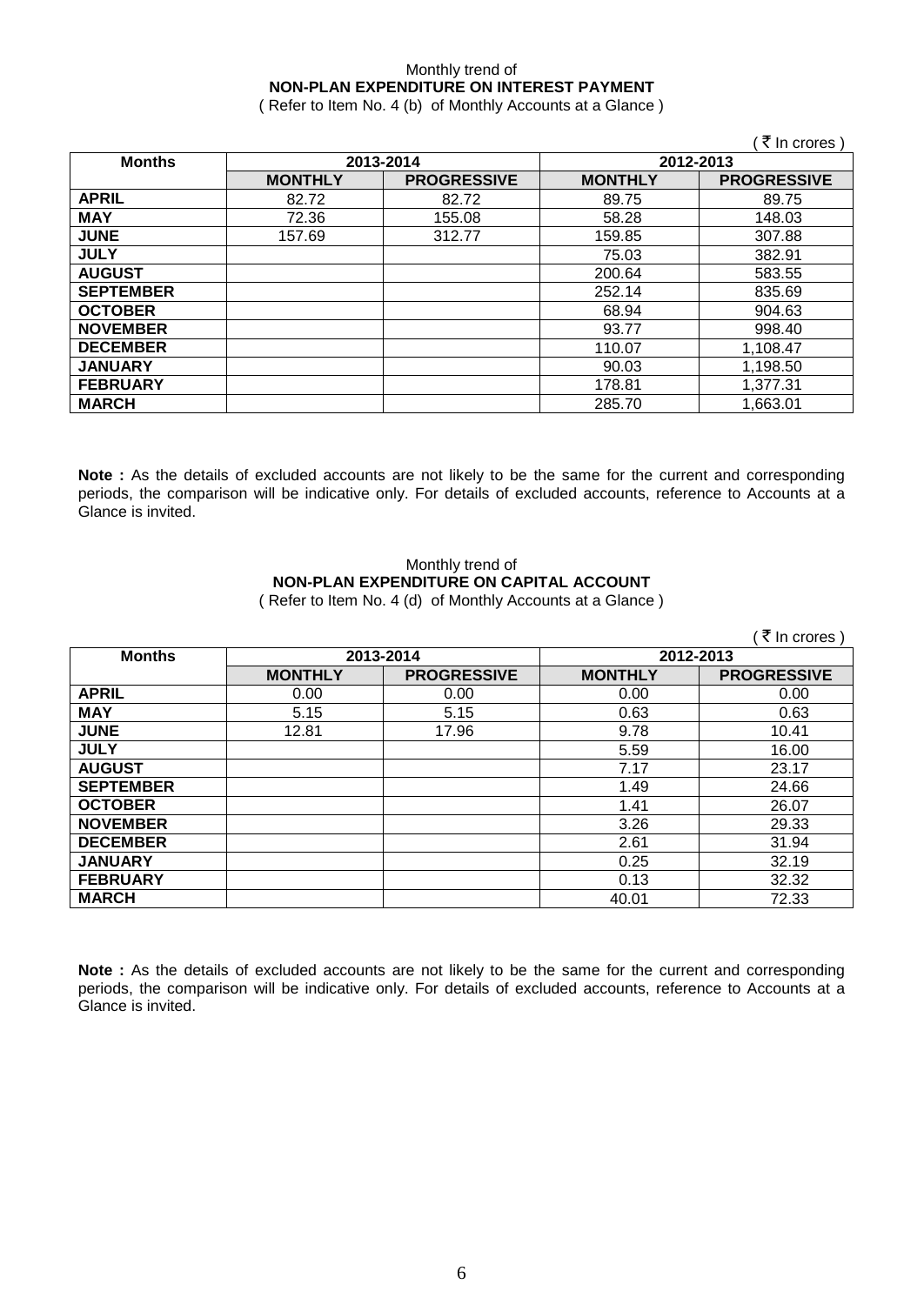### Monthly trend of **NON-PLAN EXPENDITURE ON INTEREST PAYMENT**

( Refer to Item No. 4 (b) of Monthly Accounts at a Glance )

|                  |                |                    |                | ∶ ₹ In crores)     |
|------------------|----------------|--------------------|----------------|--------------------|
| <b>Months</b>    |                | 2013-2014          |                | 2012-2013          |
|                  | <b>MONTHLY</b> | <b>PROGRESSIVE</b> | <b>MONTHLY</b> | <b>PROGRESSIVE</b> |
| <b>APRIL</b>     | 82.72          | 82.72              | 89.75          | 89.75              |
| <b>MAY</b>       | 72.36          | 155.08             | 58.28          | 148.03             |
| <b>JUNE</b>      | 157.69         | 312.77             | 159.85         | 307.88             |
| <b>JULY</b>      |                |                    | 75.03          | 382.91             |
| <b>AUGUST</b>    |                |                    | 200.64         | 583.55             |
| <b>SEPTEMBER</b> |                |                    | 252.14         | 835.69             |
| <b>OCTOBER</b>   |                |                    | 68.94          | 904.63             |
| <b>NOVEMBER</b>  |                |                    | 93.77          | 998.40             |
| <b>DECEMBER</b>  |                |                    | 110.07         | 1,108.47           |
| <b>JANUARY</b>   |                |                    | 90.03          | 1,198.50           |
| <b>FEBRUARY</b>  |                |                    | 178.81         | 1,377.31           |
| <b>MARCH</b>     |                |                    | 285.70         | 1,663.01           |

**Note :** As the details of excluded accounts are not likely to be the same for the current and corresponding periods, the comparison will be indicative only. For details of excluded accounts, reference to Accounts at a Glance is invited.

## Monthly trend of **NON-PLAN EXPENDITURE ON CAPITAL ACCOUNT**

( Refer to Item No. 4 (d) of Monthly Accounts at a Glance )

|                  |                |                    |                | (₹ In crores)      |
|------------------|----------------|--------------------|----------------|--------------------|
| <b>Months</b>    |                | 2013-2014          | 2012-2013      |                    |
|                  | <b>MONTHLY</b> | <b>PROGRESSIVE</b> | <b>MONTHLY</b> | <b>PROGRESSIVE</b> |
| <b>APRIL</b>     | 0.00           | 0.00               | 0.00           | 0.00               |
| <b>MAY</b>       | 5.15           | 5.15               | 0.63           | 0.63               |
| <b>JUNE</b>      | 12.81          | 17.96              | 9.78           | 10.41              |
| <b>JULY</b>      |                |                    | 5.59           | 16.00              |
| <b>AUGUST</b>    |                |                    | 7.17           | 23.17              |
| <b>SEPTEMBER</b> |                |                    | 1.49           | 24.66              |
| <b>OCTOBER</b>   |                |                    | 1.41           | 26.07              |
| <b>NOVEMBER</b>  |                |                    | 3.26           | 29.33              |
| <b>DECEMBER</b>  |                |                    | 2.61           | 31.94              |
| <b>JANUARY</b>   |                |                    | 0.25           | 32.19              |
| <b>FEBRUARY</b>  |                |                    | 0.13           | 32.32              |
| <b>MARCH</b>     |                |                    | 40.01          | 72.33              |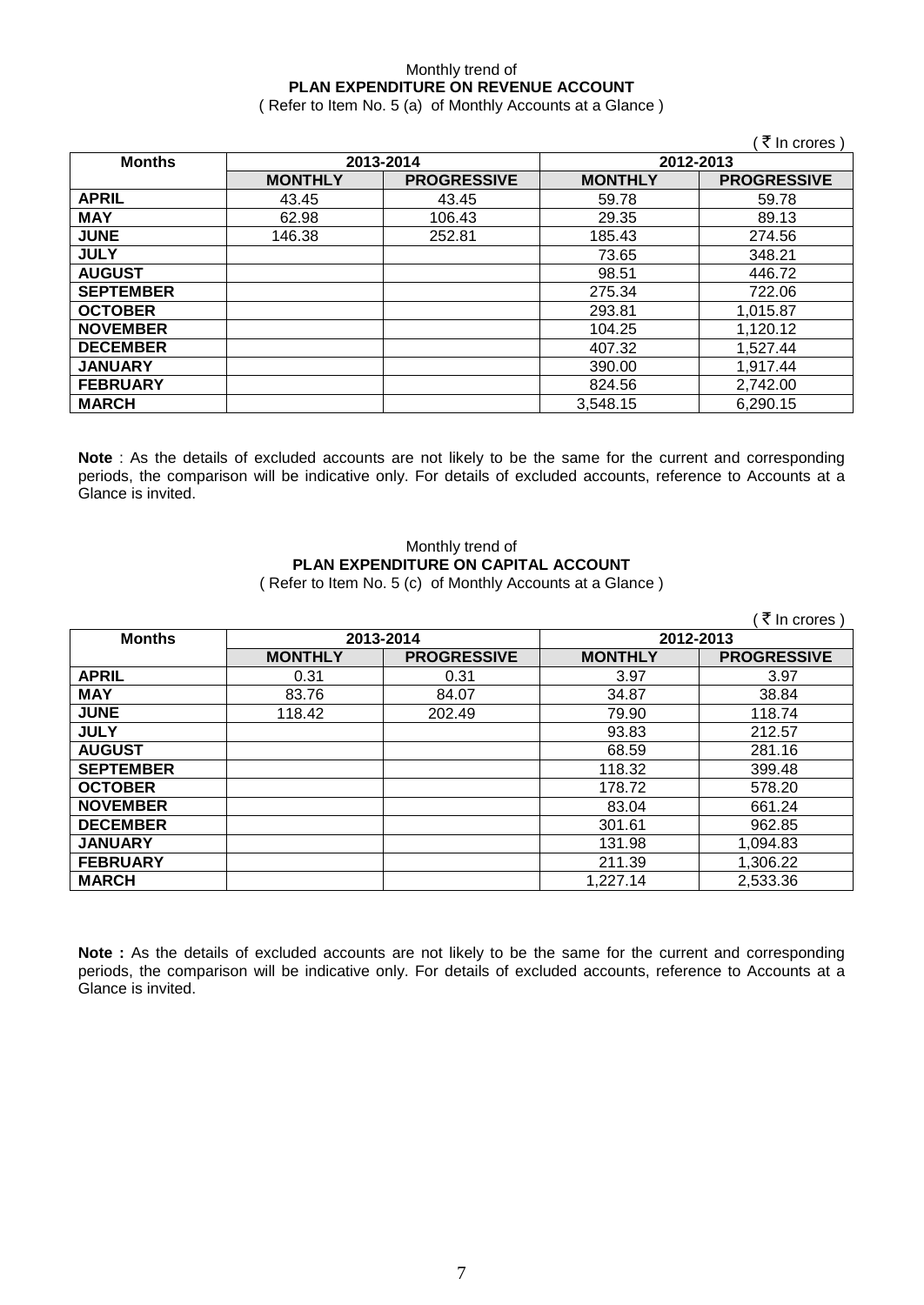#### Monthly trend of **PLAN EXPENDITURE ON REVENUE ACCOUNT** ( Refer to Item No. 5 (a) of Monthly Accounts at a Glance )

 $($   $\overline{\tau}$  In crores ) **Months 2013-2014 2012-2013 MONTHLY PROGRESSIVE MONTHLY PROGRESSIVE APRIL** 43.45 43.45 59.78 59.78 **MAY** | 62.98 | 106.43 | 29.35 | 89.13 **JUNE** 146.38 252.81 185.43 274.56 **JULY** 348.21 **AUGUST** 98.51 446.72 **SEPTEMBER** | 275.34 | 722.06 **OCTOBER** 293.81 1,015.87 **NOVEMBER** 104.25 1,120.12<br> **DECEMBER** 10527.44 **DECEMBER** 407.32 1,527.44 **JANUARY** 390.00 1,917.44 **FEBRUARY** 824.56 2,742.00 **MARCH** 3,548.15 6,290.15

**Note** : As the details of excluded accounts are not likely to be the same for the current and corresponding periods, the comparison will be indicative only. For details of excluded accounts, reference to Accounts at a Glance is invited.

### Monthly trend of **PLAN EXPENDITURE ON CAPITAL ACCOUNT** ( Refer to Item No. 5 (c) of Monthly Accounts at a Glance )

|                  |                |                    |                | ₹ In crores        |
|------------------|----------------|--------------------|----------------|--------------------|
| <b>Months</b>    | 2013-2014      |                    | 2012-2013      |                    |
|                  | <b>MONTHLY</b> | <b>PROGRESSIVE</b> | <b>MONTHLY</b> | <b>PROGRESSIVE</b> |
| <b>APRIL</b>     | 0.31           | 0.31               | 3.97           | 3.97               |
| <b>MAY</b>       | 83.76          | 84.07              | 34.87          | 38.84              |
| <b>JUNE</b>      | 118.42         | 202.49             | 79.90          | 118.74             |
| <b>JULY</b>      |                |                    | 93.83          | 212.57             |
| <b>AUGUST</b>    |                |                    | 68.59          | 281.16             |
| <b>SEPTEMBER</b> |                |                    | 118.32         | 399.48             |
| <b>OCTOBER</b>   |                |                    | 178.72         | 578.20             |
| <b>NOVEMBER</b>  |                |                    | 83.04          | 661.24             |
| <b>DECEMBER</b>  |                |                    | 301.61         | 962.85             |
| <b>JANUARY</b>   |                |                    | 131.98         | 1,094.83           |
| <b>FEBRUARY</b>  |                |                    | 211.39         | 1,306.22           |
| <b>MARCH</b>     |                |                    | 1,227.14       | 2,533.36           |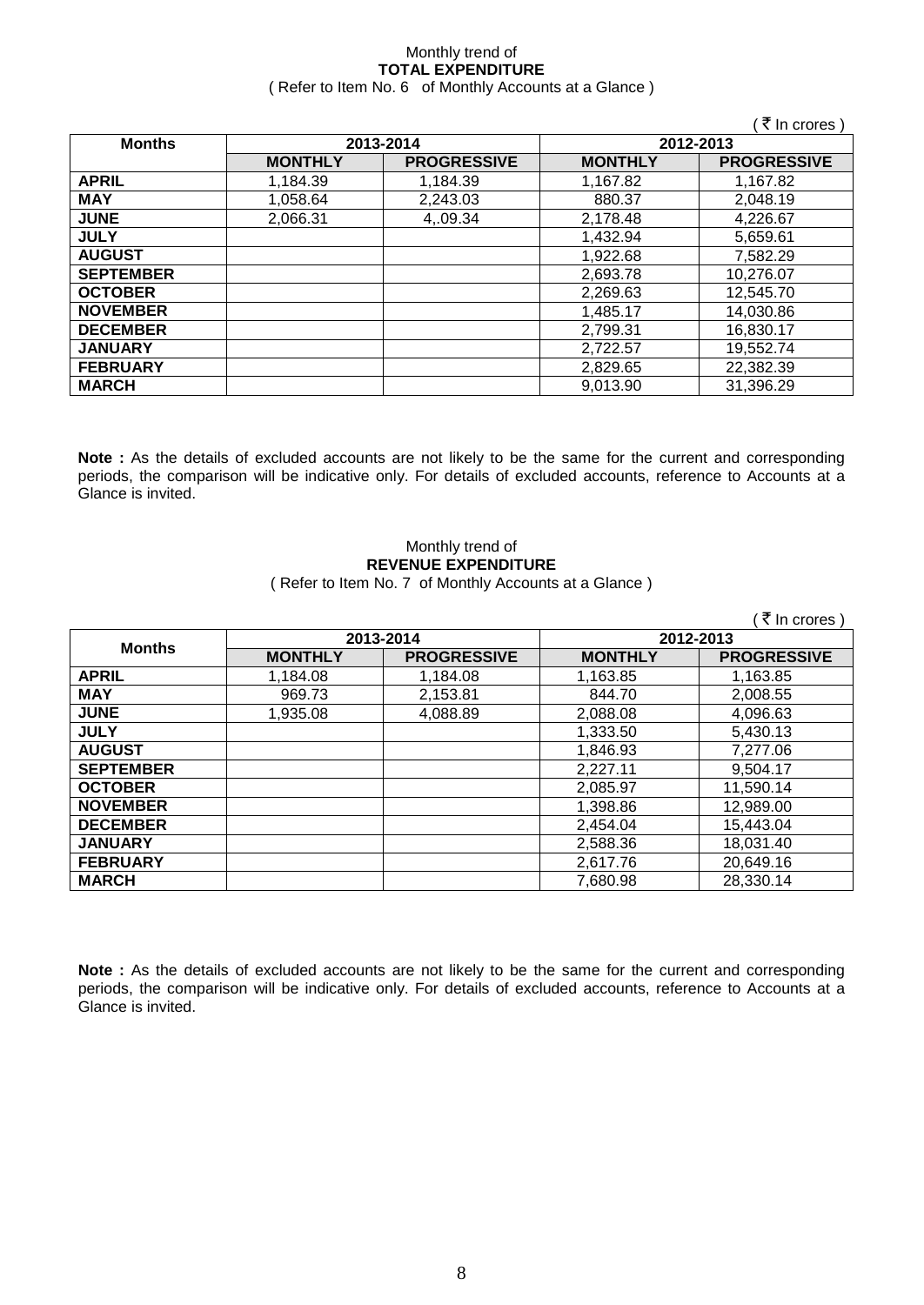### Monthly trend of **TOTAL EXPENDITURE** ( Refer to Item No. 6 of Monthly Accounts at a Glance )

| ( ₹ In crores )  |                |                    |                |                    |
|------------------|----------------|--------------------|----------------|--------------------|
| <b>Months</b>    | 2013-2014      |                    | 2012-2013      |                    |
|                  | <b>MONTHLY</b> | <b>PROGRESSIVE</b> | <b>MONTHLY</b> | <b>PROGRESSIVE</b> |
| <b>APRIL</b>     | 1,184.39       | 1,184.39           | 1,167.82       | 1,167.82           |
| <b>MAY</b>       | 1,058.64       | 2,243.03           | 880.37         | 2,048.19           |
| <b>JUNE</b>      | 2,066.31       | 4,.09.34           | 2,178.48       | 4,226.67           |
| <b>JULY</b>      |                |                    | 1,432.94       | 5,659.61           |
| <b>AUGUST</b>    |                |                    | 1,922.68       | 7,582.29           |
| <b>SEPTEMBER</b> |                |                    | 2,693.78       | 10,276.07          |
| <b>OCTOBER</b>   |                |                    | 2,269.63       | 12,545.70          |
| <b>NOVEMBER</b>  |                |                    | 1,485.17       | 14,030.86          |
| <b>DECEMBER</b>  |                |                    | 2,799.31       | 16,830.17          |
| <b>JANUARY</b>   |                |                    | 2,722.57       | 19,552.74          |
| <b>FEBRUARY</b>  |                |                    | 2,829.65       | 22,382.39          |
| <b>MARCH</b>     |                |                    | 9,013.90       | 31,396.29          |

**Note :** As the details of excluded accounts are not likely to be the same for the current and corresponding periods, the comparison will be indicative only. For details of excluded accounts, reference to Accounts at a Glance is invited.

### Monthly trend of **REVENUE EXPENDITURE** ( Refer to Item No. 7 of Monthly Accounts at a Glance )

|                  |                |                    |                | ₹ In crores)       |
|------------------|----------------|--------------------|----------------|--------------------|
| <b>Months</b>    | 2013-2014      |                    | 2012-2013      |                    |
|                  | <b>MONTHLY</b> | <b>PROGRESSIVE</b> | <b>MONTHLY</b> | <b>PROGRESSIVE</b> |
| <b>APRIL</b>     | 1,184.08       | 1,184.08           | 1,163.85       | 1,163.85           |
| <b>MAY</b>       | 969.73         | 2,153.81           | 844.70         | 2,008.55           |
| <b>JUNE</b>      | 1.935.08       | 4,088.89           | 2,088.08       | 4,096.63           |
| <b>JULY</b>      |                |                    | 1,333.50       | 5,430.13           |
| <b>AUGUST</b>    |                |                    | 1,846.93       | 7,277.06           |
| <b>SEPTEMBER</b> |                |                    | 2,227.11       | 9,504.17           |
| <b>OCTOBER</b>   |                |                    | 2,085.97       | 11,590.14          |
| <b>NOVEMBER</b>  |                |                    | 1,398.86       | 12,989.00          |
| <b>DECEMBER</b>  |                |                    | 2,454.04       | 15,443.04          |
| <b>JANUARY</b>   |                |                    | 2,588.36       | 18,031.40          |
| <b>FEBRUARY</b>  |                |                    | 2.617.76       | 20,649.16          |
| <b>MARCH</b>     |                |                    | 7.680.98       | 28,330.14          |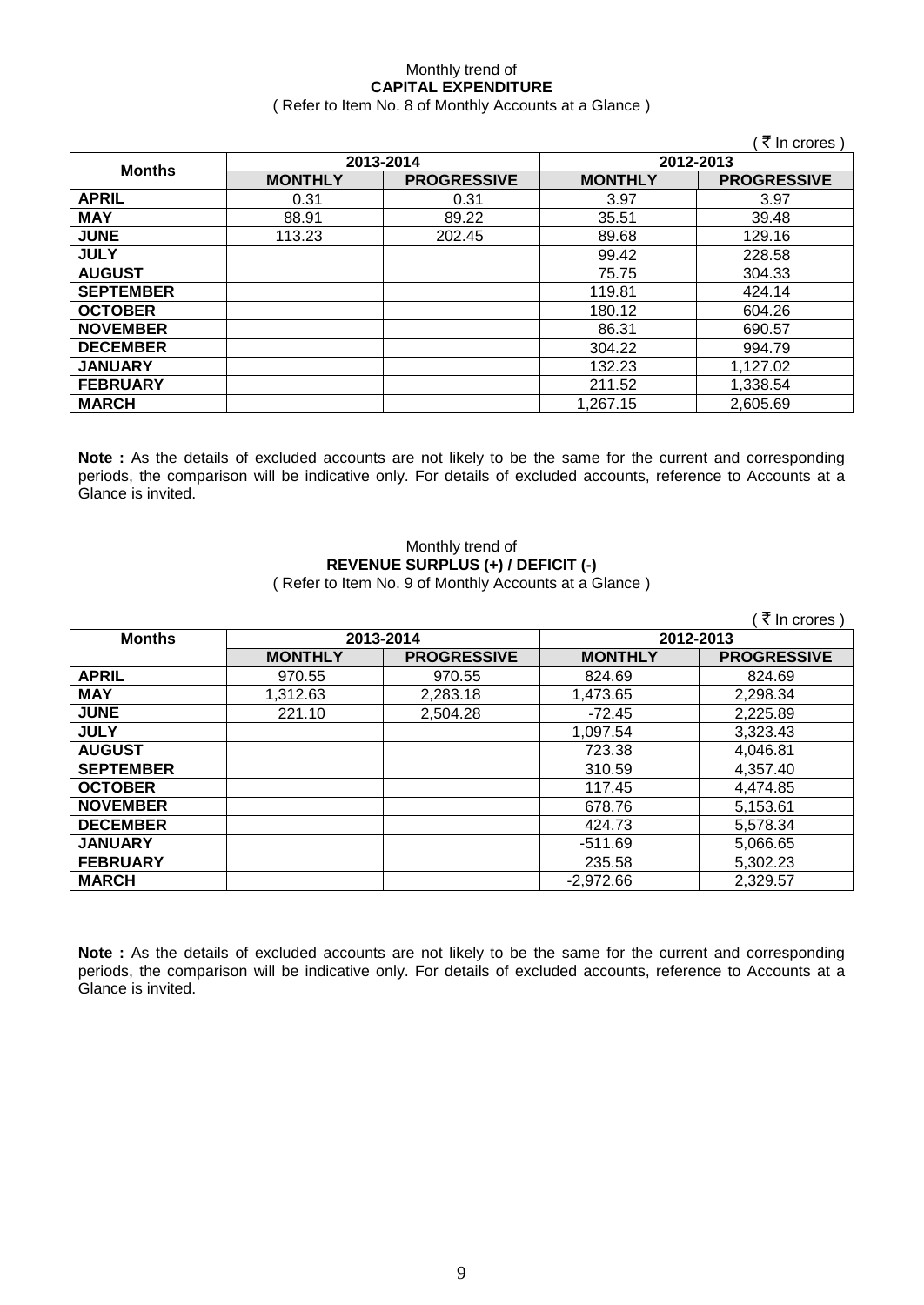#### Monthly trend of **CAPITAL EXPENDITURE**  ( Refer to Item No. 8 of Monthly Accounts at a Glance )

|                  |                |                    |                | (₹ In crores)      |
|------------------|----------------|--------------------|----------------|--------------------|
| <b>Months</b>    | 2013-2014      |                    | 2012-2013      |                    |
|                  | <b>MONTHLY</b> | <b>PROGRESSIVE</b> | <b>MONTHLY</b> | <b>PROGRESSIVE</b> |
| <b>APRIL</b>     | 0.31           | 0.31               | 3.97           | 3.97               |
| <b>MAY</b>       | 88.91          | 89.22              | 35.51          | 39.48              |
| <b>JUNE</b>      | 113.23         | 202.45             | 89.68          | 129.16             |
| <b>JULY</b>      |                |                    | 99.42          | 228.58             |
| <b>AUGUST</b>    |                |                    | 75.75          | 304.33             |
| <b>SEPTEMBER</b> |                |                    | 119.81         | 424.14             |
| <b>OCTOBER</b>   |                |                    | 180.12         | 604.26             |
| <b>NOVEMBER</b>  |                |                    | 86.31          | 690.57             |
| <b>DECEMBER</b>  |                |                    | 304.22         | 994.79             |
| <b>JANUARY</b>   |                |                    | 132.23         | 1,127.02           |
| <b>FEBRUARY</b>  |                |                    | 211.52         | 1,338.54           |
| <b>MARCH</b>     |                |                    | 1.267.15       | 2,605.69           |

**Note :** As the details of excluded accounts are not likely to be the same for the current and corresponding periods, the comparison will be indicative only. For details of excluded accounts, reference to Accounts at a Glance is invited.

### Monthly trend of **REVENUE SURPLUS (+) / DEFICIT (-)** ( Refer to Item No. 9 of Monthly Accounts at a Glance )

|                  |                |                    |                | ₹ In crores)       |
|------------------|----------------|--------------------|----------------|--------------------|
| <b>Months</b>    | 2013-2014      |                    | 2012-2013      |                    |
|                  | <b>MONTHLY</b> | <b>PROGRESSIVE</b> | <b>MONTHLY</b> | <b>PROGRESSIVE</b> |
| <b>APRIL</b>     | 970.55         | 970.55             | 824.69         | 824.69             |
| <b>MAY</b>       | 1,312.63       | 2,283.18           | 1,473.65       | 2,298.34           |
| <b>JUNE</b>      | 221.10         | 2,504.28           | $-72.45$       | 2,225.89           |
| <b>JULY</b>      |                |                    | 1,097.54       | 3,323.43           |
| <b>AUGUST</b>    |                |                    | 723.38         | 4,046.81           |
| <b>SEPTEMBER</b> |                |                    | 310.59         | 4,357.40           |
| <b>OCTOBER</b>   |                |                    | 117.45         | 4,474.85           |
| <b>NOVEMBER</b>  |                |                    | 678.76         | 5,153.61           |
| <b>DECEMBER</b>  |                |                    | 424.73         | 5,578.34           |
| <b>JANUARY</b>   |                |                    | $-511.69$      | 5,066.65           |
| <b>FEBRUARY</b>  |                |                    | 235.58         | 5,302.23           |
| <b>MARCH</b>     |                |                    | $-2,972.66$    | 2,329.57           |